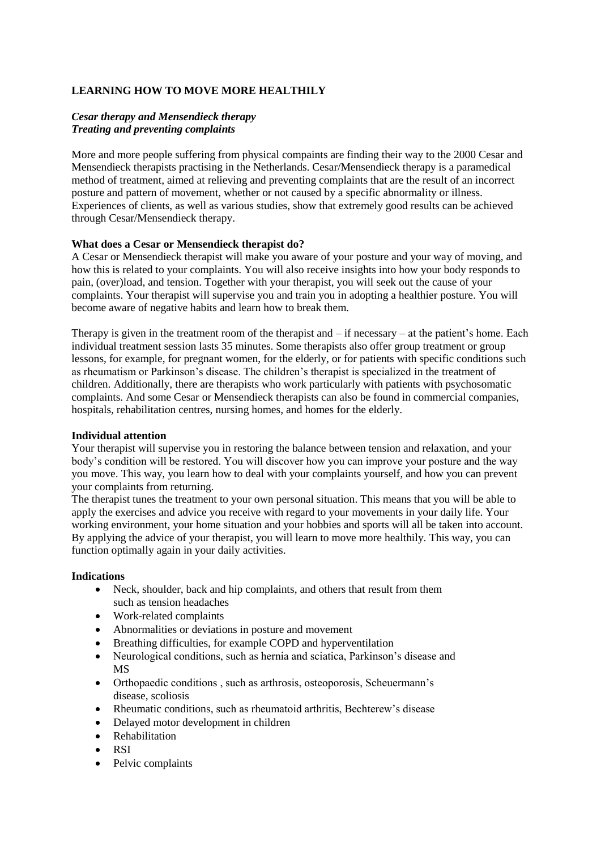# **LEARNING HOW TO MOVE MORE HEALTHILY**

## *Cesar therapy and Mensendieck therapy Treating and preventing complaints*

More and more people suffering from physical compaints are finding their way to the 2000 Cesar and Mensendieck therapists practising in the Netherlands. Cesar/Mensendieck therapy is a paramedical method of treatment, aimed at relieving and preventing complaints that are the result of an incorrect posture and pattern of movement, whether or not caused by a specific abnormality or illness. Experiences of clients, as well as various studies, show that extremely good results can be achieved through Cesar/Mensendieck therapy.

### **What does a Cesar or Mensendieck therapist do?**

A Cesar or Mensendieck therapist will make you aware of your posture and your way of moving, and how this is related to your complaints. You will also receive insights into how your body responds to pain, (over)load, and tension. Together with your therapist, you will seek out the cause of your complaints. Your therapist will supervise you and train you in adopting a healthier posture. You will become aware of negative habits and learn how to break them.

Therapy is given in the treatment room of the therapist and  $-$  if necessary  $-$  at the patient's home. Each individual treatment session lasts 35 minutes. Some therapists also offer group treatment or group lessons, for example, for pregnant women, for the elderly, or for patients with specific conditions such as rheumatism or Parkinson's disease. The children's therapist is specialized in the treatment of children. Additionally, there are therapists who work particularly with patients with psychosomatic complaints. And some Cesar or Mensendieck therapists can also be found in commercial companies, hospitals, rehabilitation centres, nursing homes, and homes for the elderly.

#### **Individual attention**

Your therapist will supervise you in restoring the balance between tension and relaxation, and your body's condition will be restored. You will discover how you can improve your posture and the way you move. This way, you learn how to deal with your complaints yourself, and how you can prevent your complaints from returning.

The therapist tunes the treatment to your own personal situation. This means that you will be able to apply the exercises and advice you receive with regard to your movements in your daily life. Your working environment, your home situation and your hobbies and sports will all be taken into account. By applying the advice of your therapist, you will learn to move more healthily. This way, you can function optimally again in your daily activities.

## **Indications**

- Neck, shoulder, back and hip complaints, and others that result from them such as tension headaches
- Work-related complaints
- Abnormalities or deviations in posture and movement
- Breathing difficulties, for example COPD and hyperventilation
- Neurological conditions, such as hernia and sciatica, Parkinson's disease and MS
- Orthopaedic conditions , such as arthrosis, osteoporosis, Scheuermann's disease, scoliosis
- Rheumatic conditions, such as rheumatoid arthritis, Bechterew's disease
- Delayed motor development in children
- Rehabilitation
- RSI
- Pelvic complaints